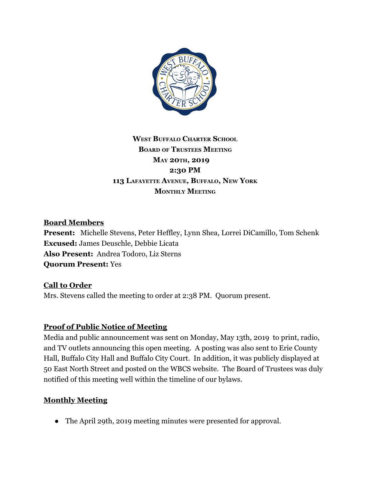

## **WEST BUFFALO CHARTER SCHOOL BOARD OF TRUSTEES MEETING MAY 20TH, 2019 2:30 PM 113 LAFAYETTE AVENUE, BUFFALO, NEW YORK MONTHLY MEETING**

#### **Board Members**

**Present:** Michelle Stevens, Peter Heffley, Lynn Shea, Lorrei DiCamillo, Tom Schenk **Excused:** James Deuschle, Debbie Licata **Also Present:** Andrea Todoro, Liz Sterns **Quorum Present:** Yes

#### **Call to Order**

Mrs. Stevens called the meeting to order at 2:38 PM. Quorum present.

#### **Proof of Public Notice of Meeting**

Media and public announcement was sent on Monday, May 13th, 2019 to print, radio, and TV outlets announcing this open meeting. A posting was also sent to Erie County Hall, Buffalo City Hall and Buffalo City Court. In addition, it was publicly displayed at 50 East North Street and posted on the WBCS website. The Board of Trustees was duly notified of this meeting well within the timeline of our bylaws.

#### **Monthly Meeting**

● The April 29th, 2019 meeting minutes were presented for approval.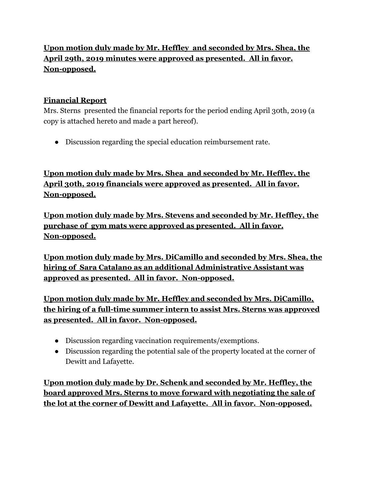# **Upon motion duly made by Mr. Heffley and seconded by Mrs. Shea, the April 29th, 2019 minutes were approved as presented. All in favor. Non-opposed.**

### **Financial Report**

Mrs. Sterns presented the financial reports for the period ending April 30th, 2019 (a copy is attached hereto and made a part hereof).

● Discussion regarding the special education reimbursement rate.

**Upon motion duly made by Mrs. Shea and seconded by Mr. Heffley, the April 30th, 2019 financials were approved as presented. All in favor. Non-opposed.**

**Upon motion duly made by Mrs. Stevens and seconded by Mr. Heffley, the purchase of gym mats were approved as presented. All in favor. Non-opposed.**

**Upon motion duly made by Mrs. DiCamillo and seconded by Mrs. Shea, the hiring of Sara Catalano as an additional Administrative Assistant was approved as presented. All in favor. Non-opposed.**

**Upon motion duly made by Mr. Heffley and seconded by Mrs. DiCamillo, the hiring of a full-time summer intern to assist Mrs. Sterns was approved as presented. All in favor. Non-opposed.**

- Discussion regarding vaccination requirements/exemptions.
- Discussion regarding the potential sale of the property located at the corner of Dewitt and Lafayette.

**Upon motion duly made by Dr. Schenk and seconded by Mr. Heffley, the board approved Mrs. Sterns to move forward with negotiating the sale of the lot at the corner of Dewitt and Lafayette. All in favor. Non-opposed.**